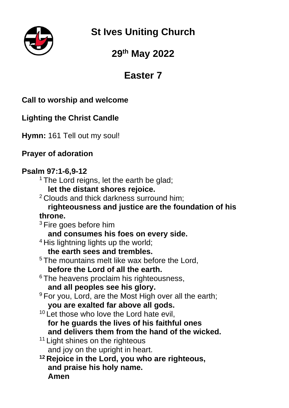**St Ives Uniting Church**

# **29 th May 2022**

# **Easter 7**

# **Call to worship and welcome**

# **Lighting the Christ Candle**

**Hymn:** 161 Tell out my soul!

## **Prayer of adoration**

### **Psalm 97:1-6,9-12**

- <sup>1</sup> The Lord reigns, let the earth be glad; **let the distant shores rejoice.**
- <sup>2</sup> Clouds and thick darkness surround him;

### **righteousness and justice are the foundation of his throne.**

- $3$  Fire goes before him
	- **and consumes his foes on every side.**
- <sup>4</sup> His lightning lights up the world;
	- **the earth sees and trembles.**
- <sup>5</sup> The mountains melt like wax before the Lord.

### **before the Lord of all the earth.**

- <sup>6</sup> The heavens proclaim his righteousness, **and all peoples see his glory.**
- <sup>9</sup> For you, Lord, are the Most High over all the earth; **you are exalted far above all gods.**
- <sup>10</sup> Let those who love the Lord hate evil, **for he guards the lives of his faithful ones and delivers them from the hand of the wicked.**
- <sup>11</sup> Light shines on the righteous and joy on the upright in heart.
- **<sup>12</sup> Rejoice in the Lord, you who are righteous, and praise his holy name. Amen**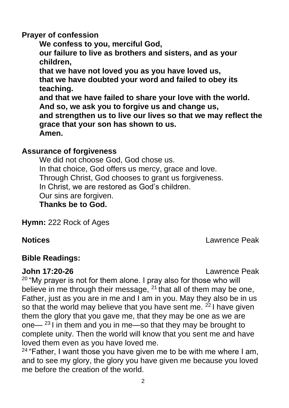#### **Prayer of confession**

**We confess to you, merciful God, our failure to live as brothers and sisters, and as your children, that we have not loved you as you have loved us, that we have doubted your word and failed to obey its teaching. and that we have failed to share your love with the world. And so, we ask you to forgive us and change us, and strengthen us to live our lives so that we may reflect the grace that your son has shown to us. Amen.**

### **Assurance of forgiveness**

We did not choose God, God chose us. In that choice, God offers us mercy, grace and love. Through Christ, God chooses to grant us forgiveness. In Christ, we are restored as God's children. Our sins are forgiven. **Thanks be to God.**

**Hymn:** 222 Rock of Ages

**Notices** Lawrence Peak

## **Bible Readings:**

**John 17:20-26** Lawrence Peak

<sup>20</sup> "My prayer is not for them alone. I pray also for those who will believe in me through their message, <sup>21</sup> that all of them may be one, Father, just as you are in me and I am in you. May they also be in us so that the world may believe that you have sent me. <sup>22</sup> I have given them the glory that you gave me, that they may be one as we are one— $^{23}$  I in them and you in me—so that they may be brought to complete unity. Then the world will know that you sent me and have loved them even as you have loved me.

 $24$  "Father, I want those you have given me to be with me where I am, and to see my glory, the glory you have given me because you loved me before the creation of the world.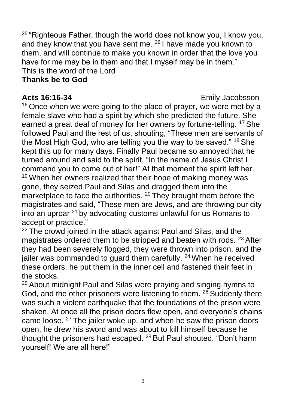$25$  "Righteous Father, though the world does not know you, I know you, and they know that you have sent me. <sup>26</sup> I have made you known to them, and will continue to make you known in order that the love you have for me may be in them and that I myself may be in them." This is the word of the Lord

#### **Thanks be to God**

#### **Acts 16:16-34** Emily Jacobsson

<sup>16</sup> Once when we were going to the place of prayer, we were met by a female slave who had a spirit by which she predicted the future. She earned a great deal of money for her owners by fortune-telling. <sup>17</sup> She followed Paul and the rest of us, shouting, "These men are servants of the Most High God, who are telling you the way to be saved." <sup>18</sup> She kept this up for many days. Finally Paul became so annoyed that he turned around and said to the spirit, "In the name of Jesus Christ I command you to come out of her!" At that moment the spirit left her. <sup>19</sup> When her owners realized that their hope of making money was gone, they seized Paul and Silas and dragged them into the marketplace to face the authorities. <sup>20</sup> They brought them before the magistrates and said, "These men are Jews, and are throwing our city into an uproar <sup>21</sup> by advocating customs unlawful for us Romans to accept or practice."

<sup>22</sup> The crowd joined in the attack against Paul and Silas, and the magistrates ordered them to be stripped and beaten with rods. <sup>23</sup> After they had been severely flogged, they were thrown into prison, and the jailer was commanded to guard them carefully. <sup>24</sup> When he received these orders, he put them in the inner cell and fastened their feet in the stocks.

<sup>25</sup> About midnight Paul and Silas were praying and singing hymns to God, and the other prisoners were listening to them. <sup>26</sup> Suddenly there was such a violent earthquake that the foundations of the prison were shaken. At once all the prison doors flew open, and everyone's chains came loose. <sup>27</sup> The jailer woke up, and when he saw the prison doors open, he drew his sword and was about to kill himself because he thought the prisoners had escaped. <sup>28</sup> But Paul shouted, "Don't harm yourself! We are all here!"